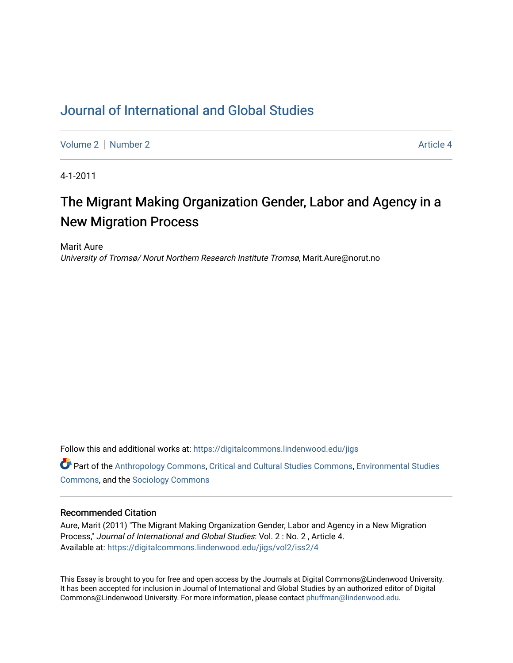# [Journal of International and Global Studies](https://digitalcommons.lindenwood.edu/jigs)

[Volume 2](https://digitalcommons.lindenwood.edu/jigs/vol2) | [Number 2](https://digitalcommons.lindenwood.edu/jigs/vol2/iss2) Article 4

4-1-2011

# The Migrant Making Organization Gender, Labor and Agency in a New Migration Process

Marit Aure University of Tromsø/ Norut Northern Research Institute Tromsø, Marit.Aure@norut.no

Follow this and additional works at: [https://digitalcommons.lindenwood.edu/jigs](https://digitalcommons.lindenwood.edu/jigs?utm_source=digitalcommons.lindenwood.edu%2Fjigs%2Fvol2%2Fiss2%2F4&utm_medium=PDF&utm_campaign=PDFCoverPages) 

**C** Part of the [Anthropology Commons](http://network.bepress.com/hgg/discipline/318?utm_source=digitalcommons.lindenwood.edu%2Fjigs%2Fvol2%2Fiss2%2F4&utm_medium=PDF&utm_campaign=PDFCoverPages), [Critical and Cultural Studies Commons](http://network.bepress.com/hgg/discipline/328?utm_source=digitalcommons.lindenwood.edu%2Fjigs%2Fvol2%2Fiss2%2F4&utm_medium=PDF&utm_campaign=PDFCoverPages), Environmental Studies [Commons](http://network.bepress.com/hgg/discipline/1333?utm_source=digitalcommons.lindenwood.edu%2Fjigs%2Fvol2%2Fiss2%2F4&utm_medium=PDF&utm_campaign=PDFCoverPages), and the [Sociology Commons](http://network.bepress.com/hgg/discipline/416?utm_source=digitalcommons.lindenwood.edu%2Fjigs%2Fvol2%2Fiss2%2F4&utm_medium=PDF&utm_campaign=PDFCoverPages)

#### Recommended Citation

Aure, Marit (2011) "The Migrant Making Organization Gender, Labor and Agency in a New Migration Process," Journal of International and Global Studies: Vol. 2 : No. 2 , Article 4. Available at: [https://digitalcommons.lindenwood.edu/jigs/vol2/iss2/4](https://digitalcommons.lindenwood.edu/jigs/vol2/iss2/4?utm_source=digitalcommons.lindenwood.edu%2Fjigs%2Fvol2%2Fiss2%2F4&utm_medium=PDF&utm_campaign=PDFCoverPages)

This Essay is brought to you for free and open access by the Journals at Digital Commons@Lindenwood University. It has been accepted for inclusion in Journal of International and Global Studies by an authorized editor of Digital Commons@Lindenwood University. For more information, please contact [phuffman@lindenwood.edu](mailto:phuffman@lindenwood.edu).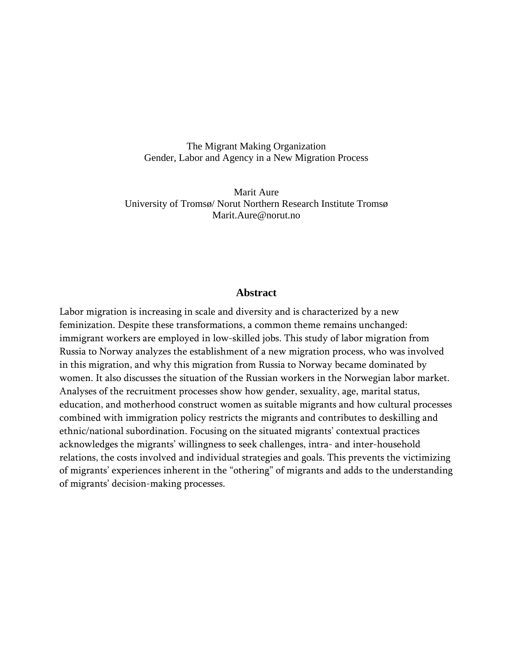The Migrant Making Organization Gender, Labor and Agency in a New Migration Process

Marit Aure University of Tromsø/ Norut Northern Research Institute Tromsø Marit.Aure@norut.no

#### **Abstract**

Labor migration is increasing in scale and diversity and is characterized by a new feminization. Despite these transformations, a common theme remains unchanged: immigrant workers are employed in low-skilled jobs. This study of labor migration from Russia to Norway analyzes the establishment of a new migration process, who was involved in this migration, and why this migration from Russia to Norway became dominated by women. It also discusses the situation of the Russian workers in the Norwegian labor market. Analyses of the recruitment processes show how gender, sexuality, age, marital status, education, and motherhood construct women as suitable migrants and how cultural processes combined with immigration policy restricts the migrants and contributes to deskilling and ethnic/national subordination. Focusing on the situated migrants' contextual practices acknowledges the migrants' willingness to seek challenges, intra- and inter-household relations, the costs involved and individual strategies and goals. This prevents the victimizing of migrants' experiences inherent in the "othering" of migrants and adds to the understanding of migrants' decision-making processes.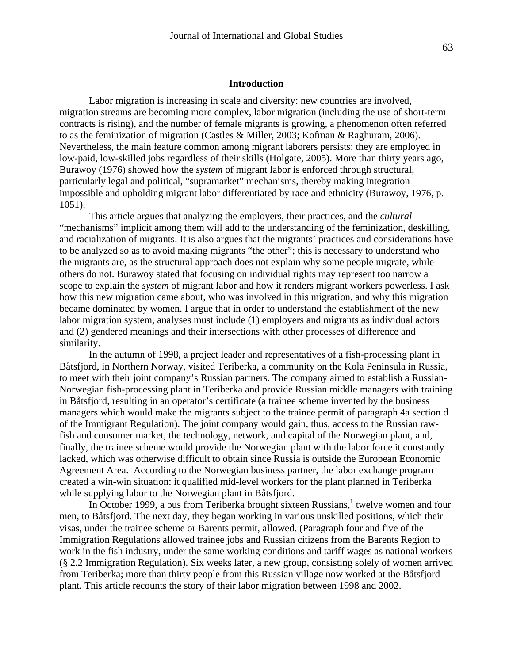#### **Introduction**

Labor migration is increasing in scale and diversity: new countries are involved, migration streams are becoming more complex, labor migration (including the use of short-term contracts is rising), and the number of female migrants is growing, a phenomenon often referred to as the feminization of migration (Castles & Miller, 2003; Kofman & Raghuram, 2006). Nevertheless, the main feature common among migrant laborers persists: they are employed in low-paid, low-skilled jobs regardless of their skills (Holgate, 2005). More than thirty years ago, Burawoy (1976) showed how the *system* of migrant labor is enforced through structural, particularly legal and political, "supramarket" mechanisms, thereby making integration impossible and upholding migrant labor differentiated by race and ethnicity (Burawoy, 1976, p. 1051).

This article argues that analyzing the employers, their practices, and the *cultural*  "mechanisms" implicit among them will add to the understanding of the feminization, deskilling, and racialization of migrants. It is also argues that the migrants' practices and considerations have to be analyzed so as to avoid making migrants "the other"; this is necessary to understand who the migrants are, as the structural approach does not explain why some people migrate, while others do not. Burawoy stated that focusing on individual rights may represent too narrow a scope to explain the *system* of migrant labor and how it renders migrant workers powerless. I ask how this new migration came about, who was involved in this migration, and why this migration became dominated by women. I argue that in order to understand the establishment of the new labor migration system, analyses must include (1) employers and migrants as individual actors and (2) gendered meanings and their intersections with other processes of difference and similarity.

In the autumn of 1998, a project leader and representatives of a fish-processing plant in Båtsfjord, in Northern Norway, visited Teriberka, a community on the Kola Peninsula in Russia, to meet with their joint company's Russian partners. The company aimed to establish a Russian-Norwegian fish-processing plant in Teriberka and provide Russian middle managers with training in Båtsfjord, resulting in an operator's certificate (a trainee scheme invented by the business managers which would make the migrants subject to the trainee permit of paragraph 4a section d of the Immigrant Regulation). The joint company would gain, thus, access to the Russian rawfish and consumer market, the technology, network, and capital of the Norwegian plant, and, finally, the trainee scheme would provide the Norwegian plant with the labor force it constantly lacked, which was otherwise difficult to obtain since Russia is outside the European Economic Agreement Area. According to the Norwegian business partner, the labor exchange program created a win-win situation: it qualified mid-level workers for the plant planned in Teriberka while supplying labor to the Norwegian plant in Båtsfjord.

In October 1999, a bus from Teriberka brought sixteen Russians, $<sup>1</sup>$  twelve women and four</sup> men, to Båtsfjord. The next day, they began working in various unskilled positions, which their visas, under the trainee scheme or Barents permit, allowed. (Paragraph four and five of the Immigration Regulations allowed trainee jobs and Russian citizens from the Barents Region to work in the fish industry, under the same working conditions and tariff wages as national workers (§ 2.2 Immigration Regulation). Six weeks later, a new group, consisting solely of women arrived from Teriberka; more than thirty people from this Russian village now worked at the Båtsfjord plant. This article recounts the story of their labor migration between 1998 and 2002.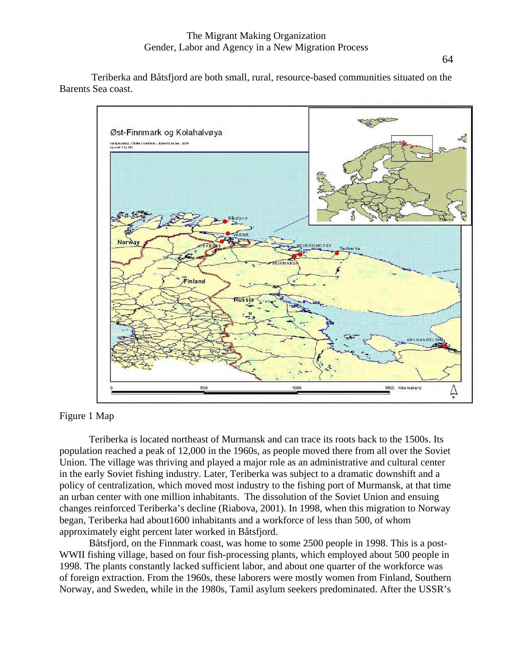Teriberka and Båtsfjord are both small, rural, resource-based communities situated on the Barents Sea coast.



Figure 1 Map

Teriberka is located northeast of Murmansk and can trace its roots back to the 1500s. Its population reached a peak of 12,000 in the 1960s, as people moved there from all over the Soviet Union. The village was thriving and played a major role as an administrative and cultural center in the early Soviet fishing industry. Later, Teriberka was subject to a dramatic downshift and a policy of centralization, which moved most industry to the fishing port of Murmansk, at that time an urban center with one million inhabitants. The dissolution of the Soviet Union and ensuing changes reinforced Teriberka's decline (Riabova, 2001). In 1998, when this migration to Norway began, Teriberka had about1600 inhabitants and a workforce of less than 500, of whom approximately eight percent later worked in Båtsfjord.

Båtsfjord, on the Finnmark coast, was home to some 2500 people in 1998. This is a post-WWII fishing village, based on four fish-processing plants, which employed about 500 people in 1998. The plants constantly lacked sufficient labor, and about one quarter of the workforce was of foreign extraction. From the 1960s, these laborers were mostly women from Finland, Southern Norway, and Sweden, while in the 1980s, Tamil asylum seekers predominated. After the USSR's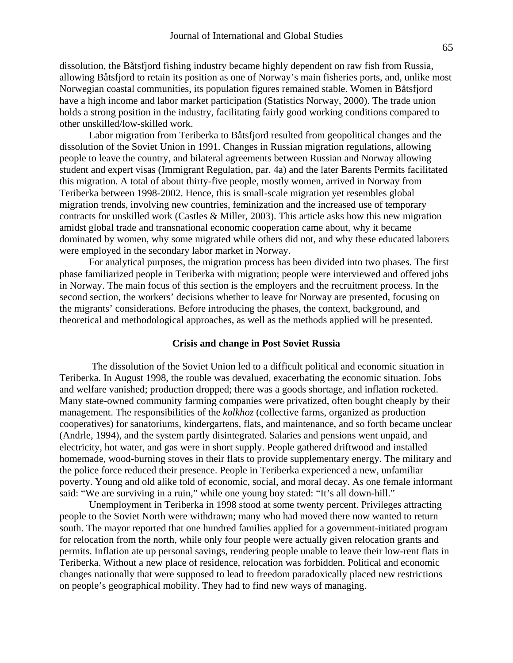dissolution, the Båtsfjord fishing industry became highly dependent on raw fish from Russia, allowing Båtsfjord to retain its position as one of Norway's main fisheries ports, and, unlike most Norwegian coastal communities, its population figures remained stable. Women in Båtsfjord have a high income and labor market participation (Statistics Norway, 2000). The trade union holds a strong position in the industry, facilitating fairly good working conditions compared to other unskilled/low-skilled work.

Labor migration from Teriberka to Båtsfjord resulted from geopolitical changes and the dissolution of the Soviet Union in 1991. Changes in Russian migration regulations, allowing people to leave the country, and bilateral agreements between Russian and Norway allowing student and expert visas (Immigrant Regulation, par. 4a) and the later Barents Permits facilitated this migration. A total of about thirty-five people, mostly women, arrived in Norway from Teriberka between 1998-2002. Hence, this is small-scale migration yet resembles global migration trends, involving new countries, feminization and the increased use of temporary contracts for unskilled work (Castles & Miller, 2003). This article asks how this new migration amidst global trade and transnational economic cooperation came about, why it became dominated by women, why some migrated while others did not, and why these educated laborers were employed in the secondary labor market in Norway.

For analytical purposes, the migration process has been divided into two phases. The first phase familiarized people in Teriberka with migration; people were interviewed and offered jobs in Norway. The main focus of this section is the employers and the recruitment process. In the second section, the workers' decisions whether to leave for Norway are presented, focusing on the migrants' considerations. Before introducing the phases, the context, background, and theoretical and methodological approaches, as well as the methods applied will be presented.

# **Crisis and change in Post Soviet Russia**

The dissolution of the Soviet Union led to a difficult political and economic situation in Teriberka. In August 1998, the rouble was devalued, exacerbating the economic situation. Jobs and welfare vanished; production dropped; there was a goods shortage, and inflation rocketed. Many state-owned community farming companies were privatized, often bought cheaply by their management. The responsibilities of the *kolkhoz* (collective farms, organized as production cooperatives) for sanatoriums, kindergartens, flats, and maintenance, and so forth became unclear (Andrle, 1994), and the system partly disintegrated. Salaries and pensions went unpaid, and electricity, hot water, and gas were in short supply. People gathered driftwood and installed homemade, wood-burning stoves in their flats to provide supplementary energy. The military and the police force reduced their presence. People in Teriberka experienced a new, unfamiliar poverty. Young and old alike told of economic, social, and moral decay. As one female informant said: "We are surviving in a ruin," while one young boy stated: "It's all down-hill."

Unemployment in Teriberka in 1998 stood at some twenty percent. Privileges attracting people to the Soviet North were withdrawn; many who had moved there now wanted to return south. The mayor reported that one hundred families applied for a government-initiated program for relocation from the north, while only four people were actually given relocation grants and permits. Inflation ate up personal savings, rendering people unable to leave their low-rent flats in Teriberka. Without a new place of residence, relocation was forbidden. Political and economic changes nationally that were supposed to lead to freedom paradoxically placed new restrictions on people's geographical mobility. They had to find new ways of managing.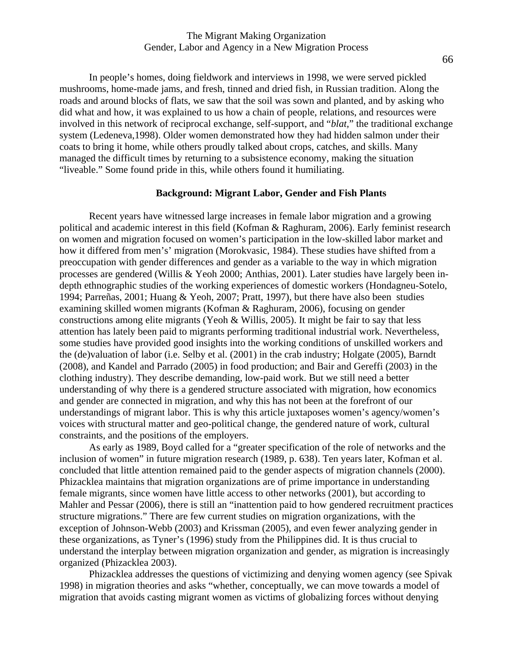In people's homes, doing fieldwork and interviews in 1998, we were served pickled mushrooms, home-made jams, and fresh, tinned and dried fish, in Russian tradition. Along the roads and around blocks of flats, we saw that the soil was sown and planted, and by asking who did what and how, it was explained to us how a chain of people, relations, and resources were involved in this network of reciprocal exchange, self-support, and "*blat,*" the traditional exchange system (Ledeneva,1998). Older women demonstrated how they had hidden salmon under their coats to bring it home, while others proudly talked about crops, catches, and skills. Many managed the difficult times by returning to a subsistence economy, making the situation "liveable." Some found pride in this, while others found it humiliating.

# **Background: Migrant Labor, Gender and Fish Plants**

Recent years have witnessed large increases in female labor migration and a growing political and academic interest in this field (Kofman & Raghuram, 2006). Early feminist research on women and migration focused on women's participation in the low-skilled labor market and how it differed from men's' migration (Morokvasic, 1984). These studies have shifted from a preoccupation with gender differences and gender as a variable to the way in which migration processes are gendered (Willis & Yeoh 2000; Anthias, 2001). Later studies have largely been indepth ethnographic studies of the working experiences of domestic workers (Hondagneu-Sotelo, 1994; Parreñas, 2001; Huang & Yeoh, 2007; Pratt, 1997), but there have also been studies examining skilled women migrants (Kofman & Raghuram, 2006), focusing on gender constructions among elite migrants (Yeoh & Willis, 2005). It might be fair to say that less attention has lately been paid to migrants performing traditional industrial work. Nevertheless, some studies have provided good insights into the working conditions of unskilled workers and the (de)valuation of labor (i.e. Selby et al. (2001) in the crab industry; Holgate (2005), Barndt (2008), and Kandel and Parrado (2005) in food production; and Bair and Gereffi (2003) in the clothing industry). They describe demanding, low-paid work. But we still need a better understanding of why there is a gendered structure associated with migration, how economics and gender are connected in migration, and why this has not been at the forefront of our understandings of migrant labor. This is why this article juxtaposes women's agency/women's voices with structural matter and geo-political change, the gendered nature of work, cultural constraints, and the positions of the employers.

As early as 1989, Boyd called for a "greater specification of the role of networks and the inclusion of women" in future migration research (1989, p. 638). Ten years later, Kofman et al. concluded that little attention remained paid to the gender aspects of migration channels (2000). Phizacklea maintains that migration organizations are of prime importance in understanding female migrants, since women have little access to other networks (2001), but according to Mahler and Pessar (2006), there is still an "inattention paid to how gendered recruitment practices structure migrations." There are few current studies on migration organizations, with the exception of Johnson-Webb (2003) and Krissman (2005), and even fewer analyzing gender in these organizations, as Tyner's (1996) study from the Philippines did. It is thus crucial to understand the interplay between migration organization and gender, as migration is increasingly organized (Phizacklea 2003).

Phizacklea addresses the questions of victimizing and denying women agency (see Spivak 1998) in migration theories and asks "whether, conceptually, we can move towards a model of migration that avoids casting migrant women as victims of globalizing forces without denying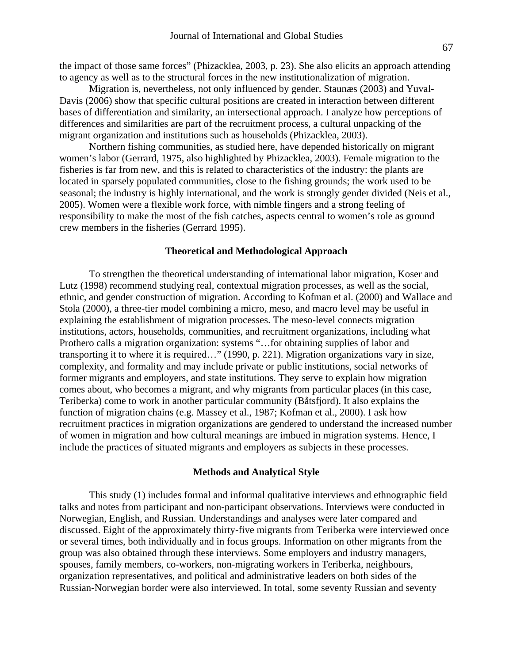the impact of those same forces" (Phizacklea, 2003, p. 23). She also elicits an approach attending to agency as well as to the structural forces in the new institutionalization of migration.

Migration is, nevertheless, not only influenced by gender. Staunæs (2003) and Yuval-Davis (2006) show that specific cultural positions are created in interaction between different bases of differentiation and similarity, an intersectional approach. I analyze how perceptions of differences and similarities are part of the recruitment process, a cultural unpacking of the migrant organization and institutions such as households (Phizacklea, 2003).

Northern fishing communities, as studied here, have depended historically on migrant women's labor (Gerrard, 1975, also highlighted by Phizacklea, 2003). Female migration to the fisheries is far from new, and this is related to characteristics of the industry: the plants are located in sparsely populated communities, close to the fishing grounds; the work used to be seasonal; the industry is highly international, and the work is strongly gender divided (Neis et al., 2005). Women were a flexible work force, with nimble fingers and a strong feeling of responsibility to make the most of the fish catches, aspects central to women's role as ground crew members in the fisheries (Gerrard 1995).

# **Theoretical and Methodological Approach**

To strengthen the theoretical understanding of international labor migration, Koser and Lutz (1998) recommend studying real, contextual migration processes, as well as the social, ethnic, and gender construction of migration. According to Kofman et al. (2000) and Wallace and Stola (2000), a three-tier model combining a micro, meso, and macro level may be useful in explaining the establishment of migration processes. The meso-level connects migration institutions, actors, households, communities, and recruitment organizations, including what Prothero calls a migration organization: systems "…for obtaining supplies of labor and transporting it to where it is required…" (1990, p. 221). Migration organizations vary in size, complexity, and formality and may include private or public institutions, social networks of former migrants and employers, and state institutions. They serve to explain how migration comes about, who becomes a migrant, and why migrants from particular places (in this case, Teriberka) come to work in another particular community (Båtsfjord). It also explains the function of migration chains (e.g. Massey et al., 1987; Kofman et al., 2000). I ask how recruitment practices in migration organizations are gendered to understand the increased number of women in migration and how cultural meanings are imbued in migration systems. Hence, I include the practices of situated migrants and employers as subjects in these processes.

#### **Methods and Analytical Style**

This study (1) includes formal and informal qualitative interviews and ethnographic field talks and notes from participant and non-participant observations. Interviews were conducted in Norwegian, English, and Russian. Understandings and analyses were later compared and discussed. Eight of the approximately thirty-five migrants from Teriberka were interviewed once or several times, both individually and in focus groups. Information on other migrants from the group was also obtained through these interviews. Some employers and industry managers, spouses, family members, co-workers, non-migrating workers in Teriberka, neighbours, organization representatives, and political and administrative leaders on both sides of the Russian-Norwegian border were also interviewed. In total, some seventy Russian and seventy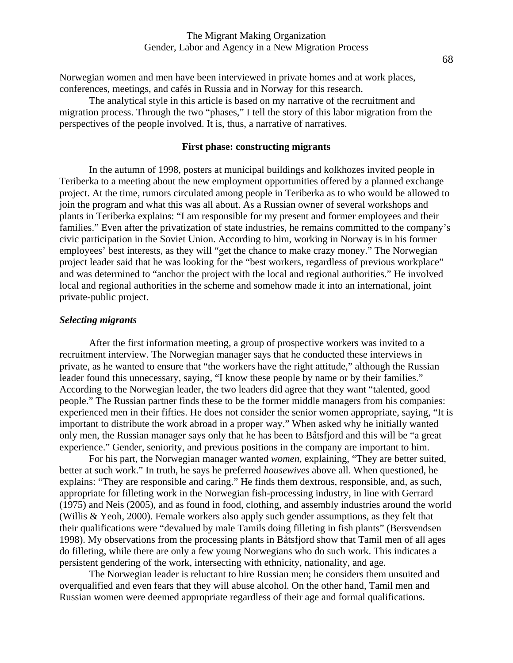Norwegian women and men have been interviewed in private homes and at work places, conferences, meetings, and cafés in Russia and in Norway for this research.

The analytical style in this article is based on my narrative of the recruitment and migration process. Through the two "phases," I tell the story of this labor migration from the perspectives of the people involved. It is, thus, a narrative of narratives.

# **First phase: constructing migrants**

In the autumn of 1998, posters at municipal buildings and kolkhozes invited people in Teriberka to a meeting about the new employment opportunities offered by a planned exchange project. At the time, rumors circulated among people in Teriberka as to who would be allowed to join the program and what this was all about. As a Russian owner of several workshops and plants in Teriberka explains: "I am responsible for my present and former employees and their families." Even after the privatization of state industries, he remains committed to the company's civic participation in the Soviet Union. According to him, working in Norway is in his former employees' best interests, as they will "get the chance to make crazy money." The Norwegian project leader said that he was looking for the "best workers, regardless of previous workplace" and was determined to "anchor the project with the local and regional authorities." He involved local and regional authorities in the scheme and somehow made it into an international, joint private-public project.

# *Selecting migrants*

After the first information meeting, a group of prospective workers was invited to a recruitment interview. The Norwegian manager says that he conducted these interviews in private, as he wanted to ensure that "the workers have the right attitude," although the Russian leader found this unnecessary, saying, "I know these people by name or by their families." According to the Norwegian leader, the two leaders did agree that they want "talented, good people." The Russian partner finds these to be the former middle managers from his companies: experienced men in their fifties. He does not consider the senior women appropriate, saying, "It is important to distribute the work abroad in a proper way." When asked why he initially wanted only men, the Russian manager says only that he has been to Båtsfjord and this will be "a great experience." Gender, seniority, and previous positions in the company are important to him.

For his part, the Norwegian manager wanted *women*, explaining, "They are better suited, better at such work." In truth, he says he preferred *housewives* above all. When questioned, he explains: "They are responsible and caring." He finds them dextrous, responsible, and, as such, appropriate for filleting work in the Norwegian fish-processing industry, in line with Gerrard (1975) and Neis (2005), and as found in food, clothing, and assembly industries around the world (Willis & Yeoh, 2000). Female workers also apply such gender assumptions, as they felt that their qualifications were "devalued by male Tamils doing filleting in fish plants" (Bersvendsen 1998). My observations from the processing plants in Båtsfjord show that Tamil men of all ages do filleting, while there are only a few young Norwegians who do such work. This indicates a persistent gendering of the work, intersecting with ethnicity, nationality, and age.

The Norwegian leader is reluctant to hire Russian men; he considers them unsuited and overqualified and even fears that they will abuse alcohol. On the other hand, Tamil men and Russian women were deemed appropriate regardless of their age and formal qualifications.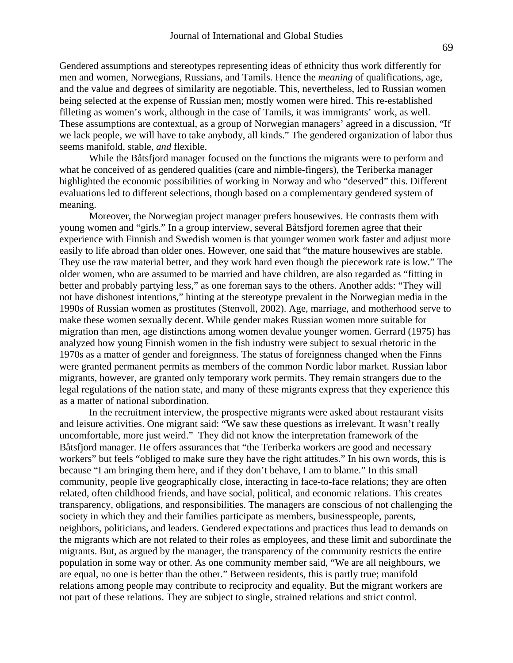Gendered assumptions and stereotypes representing ideas of ethnicity thus work differently for men and women, Norwegians, Russians, and Tamils. Hence the *meaning* of qualifications, age, and the value and degrees of similarity are negotiable. This, nevertheless, led to Russian women being selected at the expense of Russian men; mostly women were hired. This re-established filleting as women's work, although in the case of Tamils, it was immigrants' work, as well. These assumptions are contextual, as a group of Norwegian managers' agreed in a discussion, "If we lack people, we will have to take anybody, all kinds." The gendered organization of labor thus seems manifold, stable, *and* flexible.

While the Båtsfjord manager focused on the functions the migrants were to perform and what he conceived of as gendered qualities (care and nimble-fingers), the Teriberka manager highlighted the economic possibilities of working in Norway and who "deserved" this. Different evaluations led to different selections, though based on a complementary gendered system of meaning.

Moreover, the Norwegian project manager prefers housewives. He contrasts them with young women and "girls." In a group interview, several Båtsfjord foremen agree that their experience with Finnish and Swedish women is that younger women work faster and adjust more easily to life abroad than older ones. However, one said that "the mature housewives are stable. They use the raw material better, and they work hard even though the piecework rate is low." The older women, who are assumed to be married and have children, are also regarded as "fitting in better and probably partying less," as one foreman says to the others. Another adds: "They will not have dishonest intentions," hinting at the stereotype prevalent in the Norwegian media in the 1990s of Russian women as prostitutes (Stenvoll, 2002). Age, marriage, and motherhood serve to make these women sexually decent. While gender makes Russian women more suitable for migration than men, age distinctions among women devalue younger women. Gerrard (1975) has analyzed how young Finnish women in the fish industry were subject to sexual rhetoric in the 1970s as a matter of gender and foreignness. The status of foreignness changed when the Finns were granted permanent permits as members of the common Nordic labor market. Russian labor migrants, however, are granted only temporary work permits. They remain strangers due to the legal regulations of the nation state, and many of these migrants express that they experience this as a matter of national subordination.

 In the recruitment interview, the prospective migrants were asked about restaurant visits and leisure activities. One migrant said: "We saw these questions as irrelevant. It wasn't really uncomfortable, more just weird." They did not know the interpretation framework of the Båtsfjord manager. He offers assurances that "the Teriberka workers are good and necessary workers" but feels "obliged to make sure they have the right attitudes." In his own words, this is because "I am bringing them here, and if they don't behave, I am to blame." In this small community, people live geographically close, interacting in face-to-face relations; they are often related, often childhood friends, and have social, political, and economic relations. This creates transparency, obligations, and responsibilities. The managers are conscious of not challenging the society in which they and their families participate as members, businesspeople, parents, neighbors, politicians, and leaders. Gendered expectations and practices thus lead to demands on the migrants which are not related to their roles as employees, and these limit and subordinate the migrants. But, as argued by the manager, the transparency of the community restricts the entire population in some way or other. As one community member said, "We are all neighbours, we are equal, no one is better than the other." Between residents, this is partly true; manifold relations among people may contribute to reciprocity and equality. But the migrant workers are not part of these relations. They are subject to single, strained relations and strict control.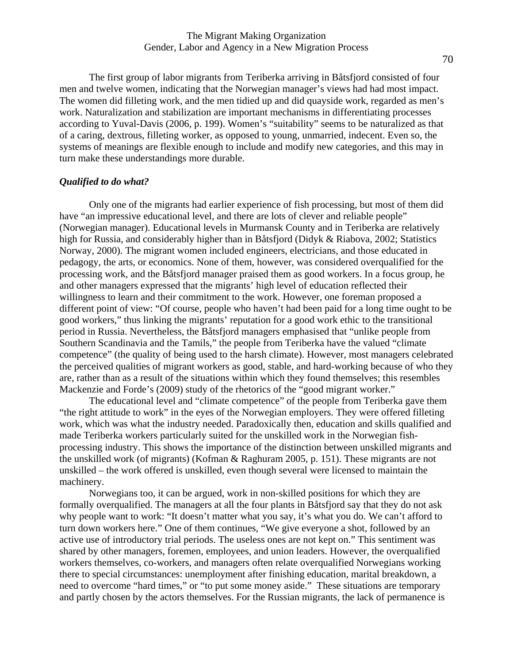# The Migrant Making Organization Gender, Labor and Agency in a New Migration Process

The first group of labor migrants from Teriberka arriving in Båtsfjord consisted of four men and twelve women, indicating that the Norwegian manager's views had had most impact. The women did filleting work, and the men tidied up and did quayside work, regarded as men's work. Naturalization and stabilization are important mechanisms in differentiating processes according to Yuval-Davis (2006, p. 199). Women's "suitability" seems to be naturalized as that of a caring, dextrous, filleting worker, as opposed to young, unmarried, indecent. Even so, the systems of meanings are flexible enough to include and modify new categories, and this may in turn make these understandings more durable.

# *Qualified to do what?*

Only one of the migrants had earlier experience of fish processing, but most of them did have "an impressive educational level, and there are lots of clever and reliable people" (Norwegian manager). Educational levels in Murmansk County and in Teriberka are relatively high for Russia, and considerably higher than in Båtsfjord (Didyk & Riabova, 2002; Statistics Norway, 2000). The migrant women included engineers, electricians, and those educated in pedagogy, the arts, or economics. None of them, however, was considered overqualified for the processing work, and the Båtsfjord manager praised them as good workers. In a focus group, he and other managers expressed that the migrants' high level of education reflected their willingness to learn and their commitment to the work. However, one foreman proposed a different point of view: "Of course, people who haven't had been paid for a long time ought to be good workers," thus linking the migrants' reputation for a good work ethic to the transitional period in Russia. Nevertheless, the Båtsfjord managers emphasised that "unlike people from Southern Scandinavia and the Tamils," the people from Teriberka have the valued "climate competence" (the quality of being used to the harsh climate). However, most managers celebrated the perceived qualities of migrant workers as good, stable, and hard-working because of who they are, rather than as a result of the situations within which they found themselves; this resembles Mackenzie and Forde's (2009) study of the rhetorics of the "good migrant worker."

The educational level and "climate competence" of the people from Teriberka gave them "the right attitude to work" in the eyes of the Norwegian employers. They were offered filleting work, which was what the industry needed. Paradoxically then, education and skills qualified and made Teriberka workers particularly suited for the unskilled work in the Norwegian fishprocessing industry. This shows the importance of the distinction between unskilled migrants and the unskilled work (of migrants) (Kofman & Raghuram 2005, p. 151). These migrants are not unskilled – the work offered is unskilled, even though several were licensed to maintain the machinery.

Norwegians too, it can be argued, work in non-skilled positions for which they are formally overqualified. The managers at all the four plants in Båtsfjord say that they do not ask why people want to work: "It doesn't matter what you say, it's what you do. We can't afford to turn down workers here." One of them continues, "We give everyone a shot, followed by an active use of introductory trial periods. The useless ones are not kept on." This sentiment was shared by other managers, foremen, employees, and union leaders. However, the overqualified workers themselves, co-workers, and managers often relate overqualified Norwegians working there to special circumstances: unemployment after finishing education, marital breakdown, a need to overcome "hard times," or "to put some money aside." These situations are temporary and partly chosen by the actors themselves. For the Russian migrants, the lack of permanence is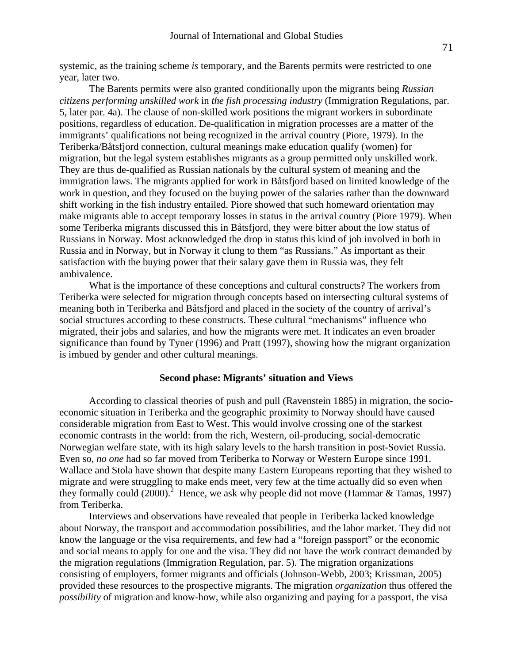systemic, as the training scheme *is* temporary, and the Barents permits were restricted to one year, later two.

The Barents permits were also granted conditionally upon the migrants being *Russian citizens performing unskilled work* in *the fish processing industry* (Immigration Regulations, par. 5, later par. 4a). The clause of non-skilled work positions the migrant workers in subordinate positions, regardless of education. De-qualification in migration processes are a matter of the immigrants' qualifications not being recognized in the arrival country (Piore, 1979). In the Teriberka/Båtsfjord connection, cultural meanings make education qualify (women) for migration, but the legal system establishes migrants as a group permitted only unskilled work. They are thus de-qualified as Russian nationals by the cultural system of meaning and the immigration laws. The migrants applied for work in Båtsfjord based on limited knowledge of the work in question, and they focused on the buying power of the salaries rather than the downward shift working in the fish industry entailed. Piore showed that such homeward orientation may make migrants able to accept temporary losses in status in the arrival country (Piore 1979). When some Teriberka migrants discussed this in Båtsfjord, they were bitter about the low status of Russians in Norway. Most acknowledged the drop in status this kind of job involved in both in Russia and in Norway, but in Norway it clung to them "as Russians." As important as their satisfaction with the buying power that their salary gave them in Russia was, they felt ambivalence.

What is the importance of these conceptions and cultural constructs? The workers from Teriberka were selected for migration through concepts based on intersecting cultural systems of meaning both in Teriberka and Båtsfjord and placed in the society of the country of arrival's social structures according to these constructs. These cultural "mechanisms" influence who migrated, their jobs and salaries, and how the migrants were met. It indicates an even broader significance than found by Tyner (1996) and Pratt (1997), showing how the migrant organization is imbued by gender and other cultural meanings.

## **Second phase: Migrants' situation and Views**

According to classical theories of push and pull (Ravenstein 1885) in migration, the socioeconomic situation in Teriberka and the geographic proximity to Norway should have caused considerable migration from East to West. This would involve crossing one of the starkest economic contrasts in the world: from the rich, Western, oil-producing, social-democratic Norwegian welfare state, with its high salary levels to the harsh transition in post-Soviet Russia. Even so, *no one* had so far moved from Teriberka to Norway or Western Europe since 1991. Wallace and Stola have shown that despite many Eastern Europeans reporting that they wished to migrate and were struggling to make ends meet, very few at the time actually did so even when they formally could  $(2000)$ <sup>2</sup> Hence, we ask why people did not move (Hammar & Tamas, 1997) from Teriberka.

Interviews and observations have revealed that people in Teriberka lacked knowledge about Norway, the transport and accommodation possibilities, and the labor market. They did not know the language or the visa requirements, and few had a "foreign passport" or the economic and social means to apply for one and the visa. They did not have the work contract demanded by the migration regulations (Immigration Regulation, par. 5). The migration organizations consisting of employers, former migrants and officials (Johnson-Webb, 2003; Krissman, 2005) provided these resources to the prospective migrants. The migration *organization* thus offered the *possibility* of migration and know-how, while also organizing and paying for a passport, the visa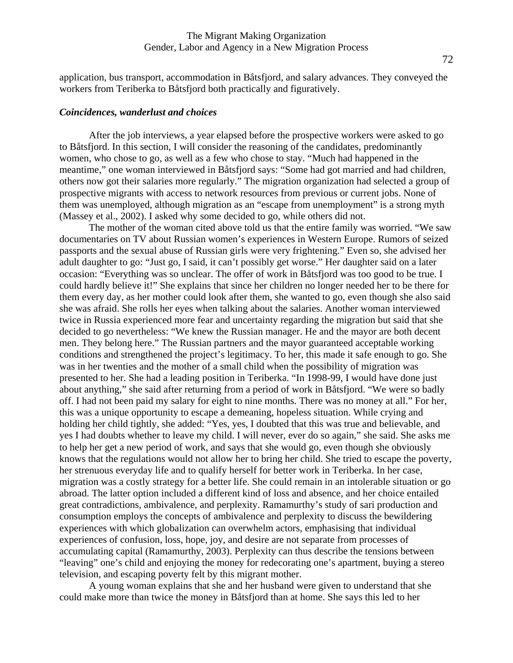application, bus transport, accommodation in Båtsfjord, and salary advances. They conveyed the workers from Teriberka to Båtsfjord both practically and figuratively.

#### *Coincidences, wanderlust and choices*

After the job interviews, a year elapsed before the prospective workers were asked to go to Båtsfjord. In this section, I will consider the reasoning of the candidates, predominantly women, who chose to go, as well as a few who chose to stay. "Much had happened in the meantime," one woman interviewed in Båtsfjord says: "Some had got married and had children, others now got their salaries more regularly." The migration organization had selected a group of prospective migrants with access to network resources from previous or current jobs. None of them was unemployed, although migration as an "escape from unemployment" is a strong myth (Massey et al., 2002). I asked why some decided to go, while others did not.

The mother of the woman cited above told us that the entire family was worried. "We saw documentaries on TV about Russian women's experiences in Western Europe. Rumors of seized passports and the sexual abuse of Russian girls were very frightening." Even so, she advised her adult daughter to go: "Just go, I said, it can't possibly get worse." Her daughter said on a later occasion: "Everything was so unclear. The offer of work in Båtsfjord was too good to be true. I could hardly believe it!" She explains that since her children no longer needed her to be there for them every day, as her mother could look after them, she wanted to go, even though she also said she was afraid. She rolls her eyes when talking about the salaries. Another woman interviewed twice in Russia experienced more fear and uncertainty regarding the migration but said that she decided to go nevertheless: "We knew the Russian manager. He and the mayor are both decent men. They belong here." The Russian partners and the mayor guaranteed acceptable working conditions and strengthened the project's legitimacy. To her, this made it safe enough to go. She was in her twenties and the mother of a small child when the possibility of migration was presented to her. She had a leading position in Teriberka. "In 1998-99, I would have done just about anything," she said after returning from a period of work in Båtsfjord. "We were so badly off. I had not been paid my salary for eight to nine months. There was no money at all." For her, this was a unique opportunity to escape a demeaning, hopeless situation. While crying and holding her child tightly, she added: "Yes, yes, I doubted that this was true and believable, and yes I had doubts whether to leave my child. I will never, ever do so again," she said. She asks me to help her get a new period of work, and says that she would go, even though she obviously knows that the regulations would not allow her to bring her child. She tried to escape the poverty, her strenuous everyday life and to qualify herself for better work in Teriberka. In her case, migration was a costly strategy for a better life. She could remain in an intolerable situation or go abroad. The latter option included a different kind of loss and absence, and her choice entailed great contradictions, ambivalence, and perplexity. Ramamurthy's study of sari production and consumption employs the concepts of ambivalence and perplexity to discuss the bewildering experiences with which globalization can overwhelm actors, emphasising that individual experiences of confusion, loss, hope, joy, and desire are not separate from processes of accumulating capital (Ramamurthy, 2003). Perplexity can thus describe the tensions between "leaving" one's child and enjoying the money for redecorating one's apartment, buying a stereo television, and escaping poverty felt by this migrant mother.

A young woman explains that she and her husband were given to understand that she could make more than twice the money in Båtsfjord than at home. She says this led to her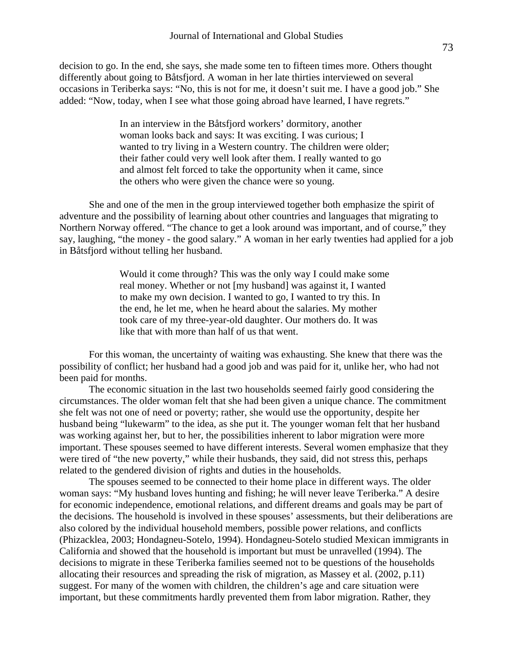decision to go. In the end, she says, she made some ten to fifteen times more. Others thought differently about going to Båtsfjord. A woman in her late thirties interviewed on several occasions in Teriberka says: "No, this is not for me, it doesn't suit me. I have a good job." She added: "Now, today, when I see what those going abroad have learned, I have regrets."

> In an interview in the Båtsfjord workers' dormitory, another woman looks back and says: It was exciting. I was curious; I wanted to try living in a Western country. The children were older; their father could very well look after them. I really wanted to go and almost felt forced to take the opportunity when it came, since the others who were given the chance were so young.

She and one of the men in the group interviewed together both emphasize the spirit of adventure and the possibility of learning about other countries and languages that migrating to Northern Norway offered. "The chance to get a look around was important, and of course," they say, laughing, "the money - the good salary." A woman in her early twenties had applied for a job in Båtsfjord without telling her husband.

> Would it come through? This was the only way I could make some real money. Whether or not [my husband] was against it, I wanted to make my own decision. I wanted to go, I wanted to try this. In the end, he let me, when he heard about the salaries. My mother took care of my three-year-old daughter. Our mothers do. It was like that with more than half of us that went.

For this woman, the uncertainty of waiting was exhausting. She knew that there was the possibility of conflict; her husband had a good job and was paid for it, unlike her, who had not been paid for months.

The economic situation in the last two households seemed fairly good considering the circumstances. The older woman felt that she had been given a unique chance. The commitment she felt was not one of need or poverty; rather, she would use the opportunity, despite her husband being "lukewarm" to the idea, as she put it. The younger woman felt that her husband was working against her, but to her, the possibilities inherent to labor migration were more important. These spouses seemed to have different interests. Several women emphasize that they were tired of "the new poverty," while their husbands, they said, did not stress this, perhaps related to the gendered division of rights and duties in the households.

The spouses seemed to be connected to their home place in different ways. The older woman says: "My husband loves hunting and fishing; he will never leave Teriberka." A desire for economic independence, emotional relations, and different dreams and goals may be part of the decisions. The household is involved in these spouses' assessments, but their deliberations are also colored by the individual household members, possible power relations, and conflicts (Phizacklea, 2003; Hondagneu-Sotelo, 1994). Hondagneu-Sotelo studied Mexican immigrants in California and showed that the household is important but must be unravelled (1994). The decisions to migrate in these Teriberka families seemed not to be questions of the households allocating their resources and spreading the risk of migration, as Massey et al. (2002, p.11) suggest. For many of the women with children, the children's age and care situation were important, but these commitments hardly prevented them from labor migration. Rather, they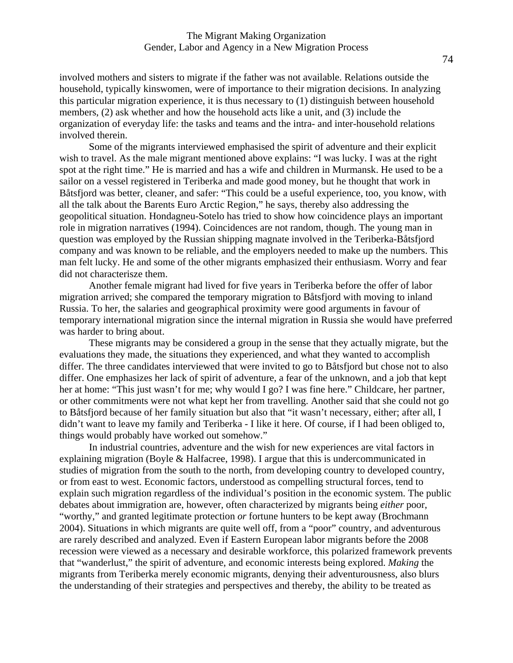involved mothers and sisters to migrate if the father was not available. Relations outside the household, typically kinswomen, were of importance to their migration decisions. In analyzing this particular migration experience, it is thus necessary to (1) distinguish between household members, (2) ask whether and how the household acts like a unit, and (3) include the organization of everyday life: the tasks and teams and the intra- and inter-household relations involved therein.

Some of the migrants interviewed emphasised the spirit of adventure and their explicit wish to travel. As the male migrant mentioned above explains: "I was lucky. I was at the right spot at the right time." He is married and has a wife and children in Murmansk. He used to be a sailor on a vessel registered in Teriberka and made good money, but he thought that work in Båtsfjord was better, cleaner, and safer: "This could be a useful experience, too, you know, with all the talk about the Barents Euro Arctic Region," he says, thereby also addressing the geopolitical situation. Hondagneu-Sotelo has tried to show how coincidence plays an important role in migration narratives (1994). Coincidences are not random, though. The young man in question was employed by the Russian shipping magnate involved in the Teriberka-Båtsfjord company and was known to be reliable, and the employers needed to make up the numbers. This man felt lucky. He and some of the other migrants emphasized their enthusiasm. Worry and fear did not characterisze them.

Another female migrant had lived for five years in Teriberka before the offer of labor migration arrived; she compared the temporary migration to Båtsfjord with moving to inland Russia. To her, the salaries and geographical proximity were good arguments in favour of temporary international migration since the internal migration in Russia she would have preferred was harder to bring about.

These migrants may be considered a group in the sense that they actually migrate, but the evaluations they made, the situations they experienced, and what they wanted to accomplish differ. The three candidates interviewed that were invited to go to Båtsfjord but chose not to also differ. One emphasizes her lack of spirit of adventure, a fear of the unknown, and a job that kept her at home: "This just wasn't for me; why would I go? I was fine here." Childcare, her partner, or other commitments were not what kept her from travelling. Another said that she could not go to Båtsfjord because of her family situation but also that "it wasn't necessary, either; after all, I didn't want to leave my family and Teriberka - I like it here. Of course, if I had been obliged to, things would probably have worked out somehow."

In industrial countries, adventure and the wish for new experiences are vital factors in explaining migration (Boyle & Halfacree, 1998). I argue that this is undercommunicated in studies of migration from the south to the north, from developing country to developed country, or from east to west. Economic factors, understood as compelling structural forces, tend to explain such migration regardless of the individual's position in the economic system. The public debates about immigration are, however, often characterized by migrants being *either* poor, "worthy," and granted legitimate protection *or* fortune hunters to be kept away (Brochmann 2004). Situations in which migrants are quite well off, from a "poor" country, and adventurous are rarely described and analyzed. Even if Eastern European labor migrants before the 2008 recession were viewed as a necessary and desirable workforce, this polarized framework prevents that "wanderlust," the spirit of adventure, and economic interests being explored. *Making* the migrants from Teriberka merely economic migrants, denying their adventurousness, also blurs the understanding of their strategies and perspectives and thereby, the ability to be treated as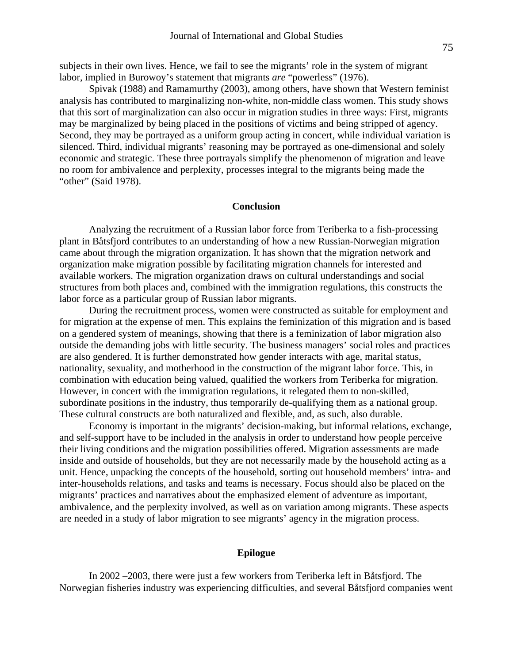subjects in their own lives. Hence, we fail to see the migrants' role in the system of migrant labor, implied in Burowoy's statement that migrants *are* "powerless" (1976).

Spivak (1988) and Ramamurthy (2003), among others, have shown that Western feminist analysis has contributed to marginalizing non-white, non-middle class women. This study shows that this sort of marginalization can also occur in migration studies in three ways: First, migrants may be marginalized by being placed in the positions of victims and being stripped of agency. Second, they may be portrayed as a uniform group acting in concert, while individual variation is silenced. Third, individual migrants' reasoning may be portrayed as one-dimensional and solely economic and strategic. These three portrayals simplify the phenomenon of migration and leave no room for ambivalence and perplexity, processes integral to the migrants being made the "other" (Said 1978).

#### **Conclusion**

Analyzing the recruitment of a Russian labor force from Teriberka to a fish-processing plant in Båtsfjord contributes to an understanding of how a new Russian-Norwegian migration came about through the migration organization. It has shown that the migration network and organization make migration possible by facilitating migration channels for interested and available workers. The migration organization draws on cultural understandings and social structures from both places and, combined with the immigration regulations, this constructs the labor force as a particular group of Russian labor migrants.

During the recruitment process, women were constructed as suitable for employment and for migration at the expense of men. This explains the feminization of this migration and is based on a gendered system of meanings, showing that there is a feminization of labor migration also outside the demanding jobs with little security. The business managers' social roles and practices are also gendered. It is further demonstrated how gender interacts with age, marital status, nationality, sexuality, and motherhood in the construction of the migrant labor force. This, in combination with education being valued, qualified the workers from Teriberka for migration. However, in concert with the immigration regulations, it relegated them to non-skilled, subordinate positions in the industry, thus temporarily de-qualifying them as a national group. These cultural constructs are both naturalized and flexible, and, as such, also durable.

Economy is important in the migrants' decision-making, but informal relations, exchange, and self-support have to be included in the analysis in order to understand how people perceive their living conditions and the migration possibilities offered. Migration assessments are made inside and outside of households, but they are not necessarily made by the household acting as a unit. Hence, unpacking the concepts of the household, sorting out household members' intra- and inter-households relations, and tasks and teams is necessary. Focus should also be placed on the migrants' practices and narratives about the emphasized element of adventure as important, ambivalence, and the perplexity involved, as well as on variation among migrants. These aspects are needed in a study of labor migration to see migrants' agency in the migration process.

# **Epilogue**

In 2002 –2003, there were just a few workers from Teriberka left in Båtsfjord. The Norwegian fisheries industry was experiencing difficulties, and several Båtsfjord companies went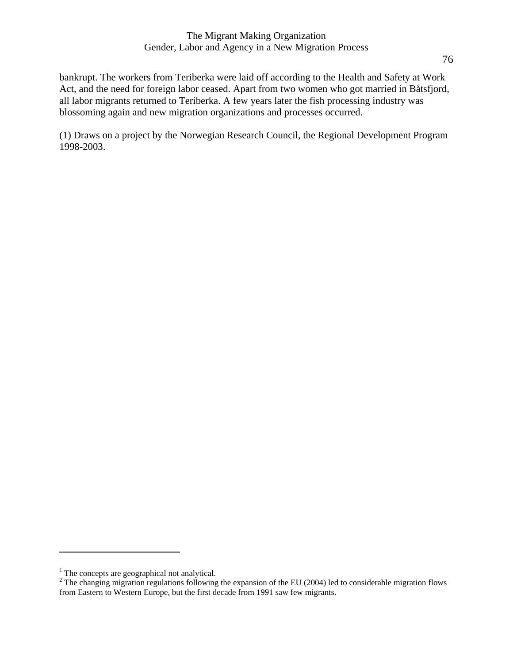# The Migrant Making Organization Gender, Labor and Agency in a New Migration Process

bankrupt. The workers from Teriberka were laid off according to the Health and Safety at Work Act, and the need for foreign labor ceased. Apart from two women who got married in Båtsfjord, all labor migrants returned to Teriberka. A few years later the fish processing industry was blossoming again and new migration organizations and processes occurred.

(1) Draws on a project by the Norwegian Research Council, the Regional Development Program 1998-2003.

 $\overline{a}$ 

<sup>&</sup>lt;sup>1</sup> The concepts are geographical not analytical.

 $2^2$  The changing migration regulations following the expansion of the EU (2004) led to considerable migration flows from Eastern to Western Europe, but the first decade from 1991 saw few migrants.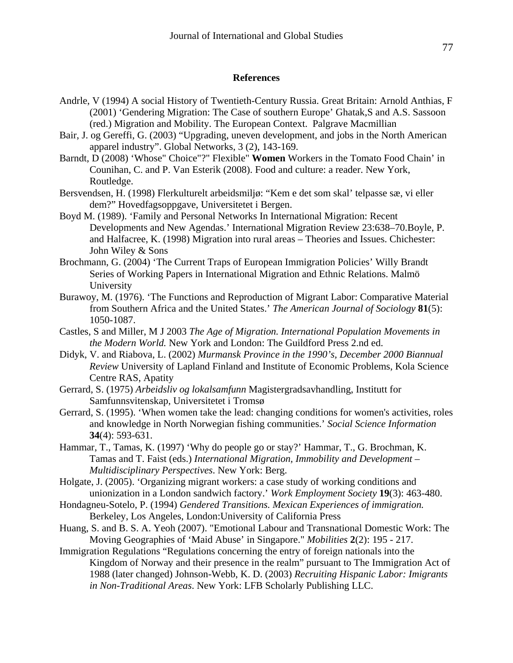# **References**

- Andrle, V (1994) A social History of Twentieth-Century Russia. Great Britain: Arnold Anthias, F (2001) 'Gendering Migration: The Case of southern Europe' Ghatak,S and A.S. Sassoon (red.) Migration and Mobility. The European Context. Palgrave Macmillian
- Bair, J. og Gereffi, G. (2003) "Upgrading, uneven development, and jobs in the North American apparel industry". Global Networks, 3 (2), 143-169.
- Barndt, D (2008) 'Whose" Choice"?" Flexible" **Women** Workers in the Tomato Food Chain' in Counihan, C. and P. Van Esterik (2008). Food and culture: a reader. New York, Routledge.
- Bersvendsen, H. (1998) Flerkulturelt arbeidsmiljø: "Kem e det som skal' telpasse sæ, vi eller dem?" Hovedfagsoppgave, Universitetet i Bergen.
- Boyd M. (1989). 'Family and Personal Networks In International Migration: Recent Developments and New Agendas.' International Migration Review 23:638–70.Boyle, P. and Halfacree, K. (1998) Migration into rural areas – Theories and Issues. Chichester: John Wiley & Sons
- Brochmann, G. (2004) 'The Current Traps of European Immigration Policies' Willy Brandt Series of Working Papers in International Migration and Ethnic Relations. Malmö University
- Burawoy, M. (1976). 'The Functions and Reproduction of Migrant Labor: Comparative Material from Southern Africa and the United States.' *The American Journal of Sociology* **81**(5): 1050-1087.
- Castles, S and Miller, M J 2003 *The Age of Migration. International Population Movements in the Modern World.* New York and London: The Guildford Press 2.nd ed.
- Didyk, V. and Riabova, L. (2002) *Murmansk Province in the 1990's, December 2000 Biannual Review* University of Lapland Finland and Institute of Economic Problems, Kola Science Centre RAS, Apatity
- Gerrard, S. (1975) *Arbeidsliv og lokalsamfunn* Magistergradsavhandling, Institutt for Samfunnsvitenskap, Universitetet i Tromsø
- Gerrard, S. (1995). 'When women take the lead: changing conditions for women's activities, roles and knowledge in North Norwegian fishing communities.' *Social Science Information* **34**(4): 593-631.
- Hammar, T., Tamas, K. (1997) 'Why do people go or stay?' Hammar, T., G. Brochman, K. Tamas and T. Faist (eds.) *International Migration, Immobility and Development – Multidisciplinary Perspectives*. New York: Berg.
- Holgate, J. (2005). 'Organizing migrant workers: a case study of working conditions and unionization in a London sandwich factory.' *Work Employment Society* **19**(3): 463-480.
- Hondagneu-Sotelo, P. (1994) *Gendered Transitions. Mexican Experiences of immigration.*  Berkeley, Los Angeles, London:University of California Press
- Huang, S. and B. S. A. Yeoh (2007). "Emotional Labour and Transnational Domestic Work: The Moving Geographies of 'Maid Abuse' in Singapore." *Mobilities* **2**(2): 195 - 217.
- Immigration Regulations "Regulations concerning the entry of foreign nationals into the Kingdom of Norway and their presence in the realm" pursuant to The Immigration Act of 1988 (later changed) Johnson-Webb, K. D. (2003) *Recruiting Hispanic Labor: Imigrants in Non-Traditional Areas*. New York: LFB Scholarly Publishing LLC.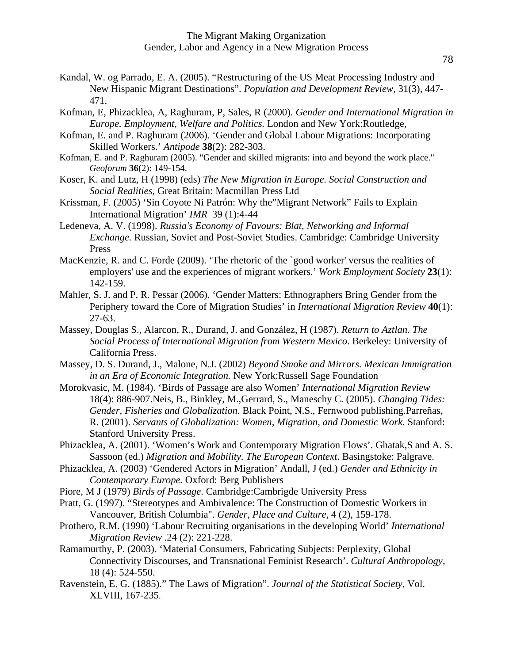- Kandal, W. og Parrado, E. A. (2005). "Restructuring of the US Meat Processing Industry and New Hispanic Migrant Destinations". *Population and Development Review,* 31(3), 447- 471.
- Kofman, E, Phizacklea, A, Raghuram, P, Sales, R (2000). *Gender and International Migration in Europe. Employment, Welfare and Politics.* London and New York:Routledge,
- Kofman, E. and P. Raghuram (2006). 'Gender and Global Labour Migrations: Incorporating Skilled Workers.' *Antipode* **38**(2): 282-303.
- Kofman, E. and P. Raghuram (2005). "Gender and skilled migrants: into and beyond the work place." *Geoforum* **36**(2): 149-154.
- Koser, K. and Lutz, H (1998) (eds) *The New Migration in Europe. Social Construction and Social Realities,* Great Britain: Macmillan Press Ltd
- Krissman, F. (2005) 'Sin Coyote Ni Patrón: Why the"Migrant Network" Fails to Explain International Migration' *IMR* 39 (1):4-44
- Ledeneva, A. V. (1998). *Russia's Economy of Favours: Blat, Networking and Informal Exchange.* Russian, Soviet and Post-Soviet Studies. Cambridge: Cambridge University Press
- MacKenzie, R. and C. Forde (2009). 'The rhetoric of the `good worker' versus the realities of employers' use and the experiences of migrant workers.' *Work Employment Society* **23**(1): 142-159.
- Mahler, S. J. and P. R. Pessar (2006). 'Gender Matters: Ethnographers Bring Gender from the Periphery toward the Core of Migration Studies' in *International Migration Review* **40**(1): 27-63.
- Massey, Douglas S., Alarcon, R., Durand, J. and González, H (1987). *Return to Aztlan. The Social Process of International Migration from Western Mexico*. Berkeley: University of California Press.
- Massey, D. S. Durand, J., Malone, N.J. (2002) *Beyond Smoke and Mirrors. Mexican Immigration in an Era of Economic Integration.* New York:Russell Sage Foundation
- Morokvasic, M. (1984). 'Birds of Passage are also Women' *International Migration Review*  18(4): 886-907.Neis, B., Binkley, M.,Gerrard, S., Maneschy C. (2005). *Changing Tides: Gender, Fisheries and Globalization.* Black Point, N.S., Fernwood publishing.Parreñas, R. (2001). *Servants of Globalization: Women, Migration, and Domestic Work*. Stanford: Stanford University Press.
- Phizacklea, A. (2001). 'Women's Work and Contemporary Migration Flows'. Ghatak,S and A. S. Sassoon (ed.) *Migration and Mobility. The European Context*. Basingstoke: Palgrave.
- Phizacklea, A. (2003) 'Gendered Actors in Migration' Andall, J (ed.) *Gender and Ethnicity in Contemporary Europe.* Oxford: Berg Publishers
- Piore, M J (1979) *Birds of Passage*. Cambridge:Cambrigde University Press
- Pratt, G. (1997). "Stereotypes and Ambivalence: The Construction of Domestic Workers in Vancouver, British Columbia". *Gender, Place and Culture*, 4 (2), 159-178.
- Prothero, R.M. (1990) 'Labour Recruiting organisations in the developing World' *International Migration Review* .24 (2): 221-228.
- Ramamurthy, P. (2003). 'Material Consumers, Fabricating Subjects: Perplexity, Global Connectivity Discourses, and Transnational Feminist Research'. *Cultural Anthropology,*  18 (4): 524-550.
- Ravenstein, E. G. (1885)." The Laws of Migration". *Journal of the Statistical Society*, Vol. XLVIII, 167-235.